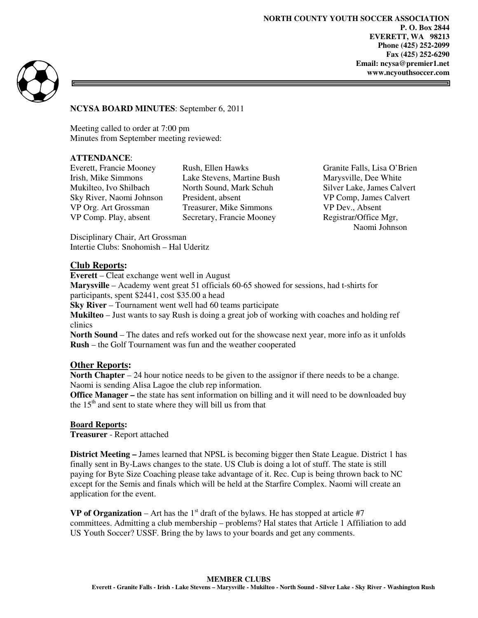**NORTH COUNTY YOUTH SOCCER ASSOCIATION P. O. Box 2844 EVERETT, WA 98213 Phone (425) 252-2099 Fax (425) 252-6290 Email: ncysa@premier1.net www.ncyouthsoccer.com** 



**NCYSA BOARD MINUTES**: September 6, 2011

Meeting called to order at 7:00 pm Minutes from September meeting reviewed:

### **ATTENDANCE**:

Everett, Francie Mooney Rush, Ellen Hawks Granite Falls, Lisa O'Brien<br>
Irish, Mike Simmons Lake Stevens, Martine Bush Marvsville, Dee White Lake Stevens, Martine Bush Marysville, Dee White Mukilteo, Ivo Shilbach North Sound, Mark Schuh Silver Lake, James Calvert Sky River, Naomi Johnson President, absent VP Comp, James Calvert VP Org. Art Grossman Treasurer, Mike Simmons VP Dev., Absent VP Comp. Play, absent Secretary, Francie Mooney Registrar/Office Mgr,

Naomi Johnson

Disciplinary Chair, Art Grossman Intertie Clubs: Snohomish – Hal Uderitz

#### **Club Reports:**

**Everett** – Cleat exchange went well in August

**Marysville** – Academy went great 51 officials 60-65 showed for sessions, had t-shirts for participants, spent \$2441, cost \$35.00 a head

**Sky River** – Tournament went well had 60 teams participate

**Mukilteo** – Just wants to say Rush is doing a great job of working with coaches and holding ref clinics

**North Sound** – The dates and refs worked out for the showcase next year, more info as it unfolds **Rush** – the Golf Tournament was fun and the weather cooperated

### **Other Reports:**

**North Chapter** – 24 hour notice needs to be given to the assignor if there needs to be a change. Naomi is sending Alisa Lagoe the club rep information.

**Office Manager** – the state has sent information on billing and it will need to be downloaded buy the  $15<sup>th</sup>$  and sent to state where they will bill us from that

### **Board Reports:**

**Treasurer** - Report attached

**District Meeting –** James learned that NPSL is becoming bigger then State League. District 1 has finally sent in By-Laws changes to the state. US Club is doing a lot of stuff. The state is still paying for Byte Size Coaching please take advantage of it. Rec. Cup is being thrown back to NC except for the Semis and finals which will be held at the Starfire Complex. Naomi will create an application for the event.

**VP of Organization** – Art has the  $1<sup>st</sup>$  draft of the bylaws. He has stopped at article #7 committees. Admitting a club membership – problems? Hal states that Article 1 Affiliation to add US Youth Soccer? USSF. Bring the by laws to your boards and get any comments.